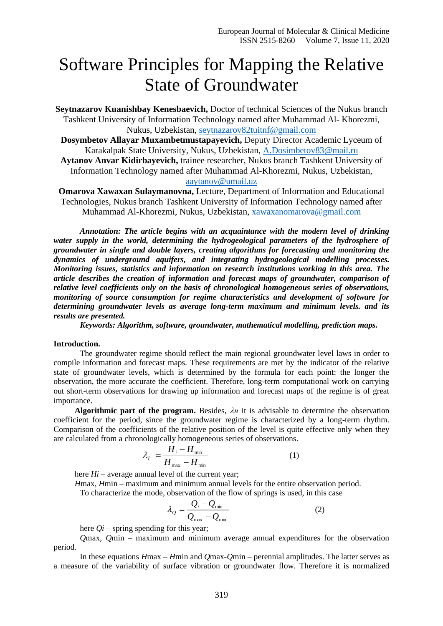## Software Principles for Mapping the Relative State of Groundwater

**Seytnazarov Kuanishbay Kenesbaevich,** Doctor of technical Sciences of the Nukus branch Tashkent University of Information Technology named after Muhammad Al- Khorezmi, Nukus, Uzbekistan, [seytnazarov82tuitnf@gmail.com](mailto:seytnazarov82tuitnf@gmail.com)

**Dosymbetov Allayar Muxambetmustapayevich,** Deputy Director Academic Lyceum of Karakalpak State University, Nukus, Uzbekistan, [A.Dosimbetov83@mail.ru](mailto:A.Dosimbetov83@mail.ru)

**Aytanov Anvar Kidirbayevich,** trainee researcher, Nukus branch Tashkent University of Information Technology named after Muhammad Al-Khorezmi, Nukus, Uzbekistan, [aaytanov@umail.uz](mailto:aaytanov@umail.uz)

**Omarova Xawaxan Sulaymanovna,** Lecture, Department of Information and Educational Technologies, Nukus branch Tashkent University of Information Technology named after Muhammad Al-Khorezmi, Nukus, Uzbekistan, [xawaxanomarova@gmail.com](mailto:xawaxanomarova@gmail.com)

*Annotation: The article begins with an acquaintance with the modern level of drinking water supply in the world, determining the hydrogeological parameters of the hydrosphere of groundwater in single and double layers, creating algorithms for forecasting and monitoring the dynamics of underground aquifers, and integrating hydrogeological modelling processes. Monitoring issues, statistics and information on research institutions working in this area. The article describes the creation of information and forecast maps of groundwater, comparison of relative level coefficients only on the basis of chronological homogeneous series of observations, monitoring of source consumption for regime characteristics and development of software for determining groundwater levels as average long-term maximum and minimum levels. and its results are presented.*

*Keywords: Algorithm, software, groundwater, mathematical modelling, prediction maps.*

## **Introduction.**

The groundwater regime should reflect the main regional groundwater level laws in order to compile information and forecast maps. These requirements are met by the indicator of the relative state of groundwater levels, which is determined by the formula for each point: the longer the observation, the more accurate the coefficient. Therefore, long-term computational work on carrying out short-term observations for drawing up information and forecast maps of the regime is of great importance.

**Algorithmic part of the program.** Besides,  $\lambda$ *H* it is advisable to determine the observation coefficient for the period, since the groundwater regime is characterized by a long-term rhythm. Comparison of the coefficients of the relative position of the level is quite effective only when they are calculated from a chronologically homogeneous series of observations.

$$
\lambda_f = \frac{H_i - H_{\min}}{H_{\max} - H_{\min}} \tag{1}
$$

here *Hi* – average annual level of the current year;

*H*max*, H*min – maximum and minimum annual levels for the entire observation period.

To characterize the mode, observation of the flow of springs is used, in this case

$$
\lambda_{Q} = \frac{Q_{i} - Q_{\min}}{Q_{\max} - Q_{\min}}
$$
\n(2)

here *Qi* – spring spending for this year;

*Q*max*, Q*min – maximum and minimum average annual expenditures for the observation period.

In these equations *H*max *– H*min and *Q*max*-Q*min – perennial amplitudes. The latter serves as a measure of the variability of surface vibration or groundwater flow. Therefore it is normalized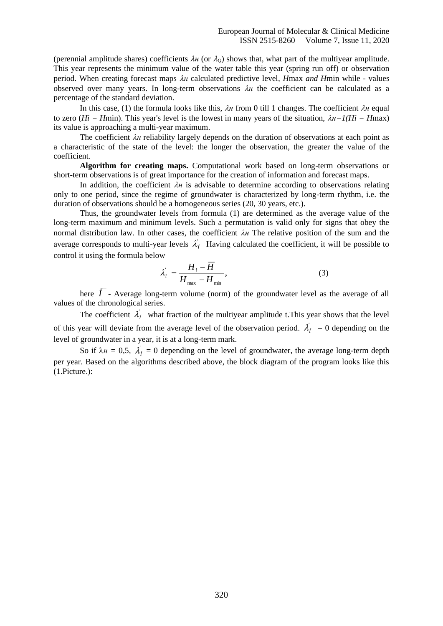(perennial amplitude shares) coefficients  $\lambda_H$  (or  $\lambda_Q$ ) shows that, what part of the multiyear amplitude. This year represents the minimum value of the water table this year (spring run off) or observation period. When creating forecast maps *н* calculated predictive level, *H*max *and H*min while - values observed over many years. In long-term observations  $\lambda$ <sup>*H*</sup> the coefficient can be calculated as a percentage of the standard deviation.

In this case, (1) the formula looks like this,  $\lambda_H$  from 0 till 1 changes. The coefficient  $\lambda_H$  equal to zero ( $Hi = H$ min). This year's level is the lowest in many years of the situation,  $\lambda h = I(Hi = H$ max) its value is approaching a multi-year maximum.

The coefficient *н* reliability largely depends on the duration of observations at each point as a characteristic of the state of the level: the longer the observation, the greater the value of the coefficient.

**Algorithm for creating maps.** Computational work based on long-term observations or short-term observations is of great importance for the creation of information and forecast maps.

In addition, the coefficient  $\lambda$ <sup>*H*</sup> is advisable to determine according to observations relating only to one period, since the regime of groundwater is characterized by long-term rhythm, i.e. the duration of observations should be a homogeneous series (20, 30 years, etc.).

Thus, the groundwater levels from formula (1) are determined as the average value of the long-term maximum and minimum levels. Such a permutation is valid only for signs that obey the normal distribution law. In other cases, the coefficient  $\lambda$  The relative position of the sum and the average corresponds to multi-year levels  $\lambda'_I$  Having calculated the coefficient, it will be possible to control it using the formula below

$$
\lambda'_{i} = \frac{H_{i} - \overline{H}}{H_{\text{max}} - H_{\text{min}}},\tag{3}
$$

here *Í* - Average long-term volume (norm) of the groundwater level as the average of all values of the chronological series.

The coefficient  $\lambda'_i$  what fraction of the multiyear amplitude t. This year shows that the level of this year will deviate from the average level of the observation period.  $\lambda'_{f} = 0$  depending on the level of groundwater in a year, it is at a long-term mark.

So if  $\lambda_H = 0.5$ ,  $\lambda'_f = 0$  depending on the level of groundwater, the average long-term depth per year. Based on the algorithms described above, the block diagram of the program looks like this (1.Picture.):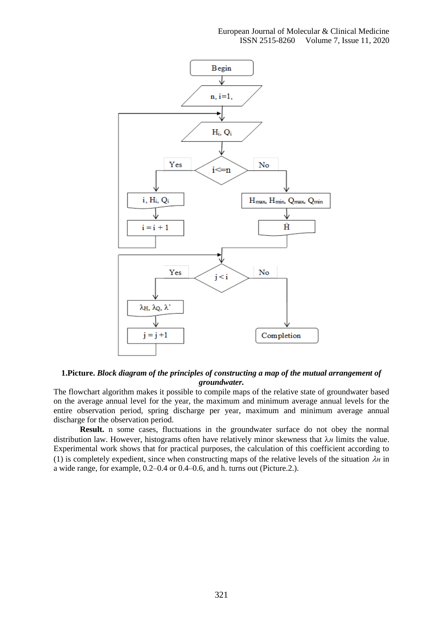

**1.Picture.** *Block diagram of the principles of constructing a map of the mutual arrangement of groundwater.*

The flowchart algorithm makes it possible to compile maps of the relative state of groundwater based on the average annual level for the year, the maximum and minimum average annual levels for the entire observation period, spring discharge per year, maximum and minimum average annual discharge for the observation period.

**Result.** n some cases, fluctuations in the groundwater surface do not obey the normal distribution law. However, histograms often have relatively minor skewness that λ*H* limits the value. Experimental work shows that for practical purposes, the calculation of this coefficient according to (1) is completely expedient, since when constructing maps of the relative levels of the situation  $\lambda$ <sup>*H*</sup> in a wide range, for example, 0.2–0.4 or 0.4–0.6, and h. turns out (Picture.2.).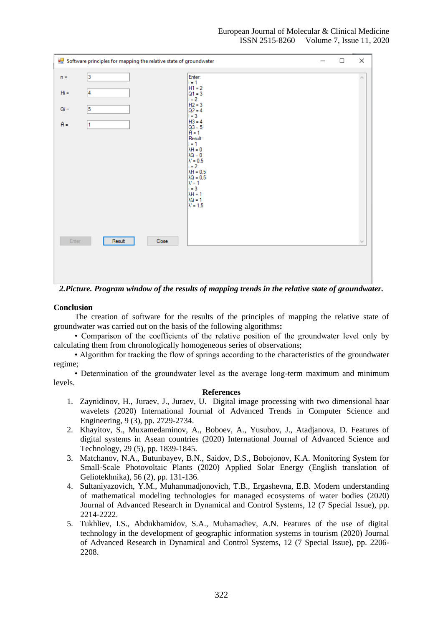| <b>DE</b> Software principles for mapping the relative state of groundwater |                                                                                                                                                                                                                                                                               | □      | ×             |
|-----------------------------------------------------------------------------|-------------------------------------------------------------------------------------------------------------------------------------------------------------------------------------------------------------------------------------------------------------------------------|--------|---------------|
| $\vert$ 3<br>$n =$                                                          | Enter:<br>$i = 1$                                                                                                                                                                                                                                                             |        | $\mu_{\rm B}$ |
| 14<br>$Hi =$                                                                | $H1 = 2$<br>$ Q1 = 3$<br>$i = 2$                                                                                                                                                                                                                                              |        |               |
| 5<br>$Qi =$                                                                 | $H2 = 3$<br>$Q2 = 4$                                                                                                                                                                                                                                                          |        |               |
| $A =$<br>$\mathbf{1}$                                                       | $i = 3$<br>$H3 = 4$<br>$ Q3 = 5$<br>$\hat{H} = 1$<br>Result:<br>$i = 1$<br>$\lambda H = 0$<br>$\lambda Q = 0$<br>$\lambda' = 0.5$<br>$i = 2$<br>$\lambda$ H = 0.5<br>$\lambda Q = 0.5$<br>$\lambda' = 1$<br>$i = 3$<br>$\lambda H = 1$<br>$\lambda Q = 1$<br>$\lambda' = 1.5$ |        |               |
| Enter<br>Result<br>Close                                                    |                                                                                                                                                                                                                                                                               |        |               |
| $\mathbf{a}$ .<br>$\sim$ $\sim$<br>$\sim$ $\sim$<br>$\sim$                  | $\mathbf{u}$<br>$\sim$<br>$\sim$ $\sim$<br>$\sim$ $\sim$<br>$\cdot$                                                                                                                                                                                                           | $\sim$ | ۰.            |

*2.Picture. Program window of the results of mapping trends in the relative state of groundwater.*

## **Conclusion**

The creation of software for the results of the principles of mapping the relative state of groundwater was carried out on the basis of the following algorithms**:**

• Comparison of the coefficients of the relative position of the groundwater level only by calculating them from chronologically homogeneous series of observations;

• Algorithm for tracking the flow of springs according to the characteristics of the groundwater regime;

• Determination of the groundwater level as the average long-term maximum and minimum levels.

## **References**

- 1. Zaynidinov, H., Juraev, J., Juraev, U. Digital image processing with two dimensional haar wavelets (2020) International Journal of Advanced Trends in Computer Science and Engineering, 9 (3), pp. 2729-2734.
- 2. Khayitov, S., Muxamedaminov, A., Boboev, A., Yusubov, J., Atadjanova, D. Features of digital systems in Asean countries (2020) International Journal of Advanced Science and Technology, 29 (5), pp. 1839-1845.
- 3. Matchanov, N.A., Butunbayev, B.N., Saidov, D.S., Bobojonov, K.A. Monitoring System for Small-Scale Photovoltaic Plants (2020) Applied Solar Energy (English translation of Geliotekhnika), 56 (2), pp. 131-136.
- 4. Sultaniyazovich, Y.M., Muhammadjonovich, T.B., Ergashevna, E.B. Modern understanding of mathematical modeling technologies for managed ecosystems of water bodies (2020) Journal of Advanced Research in Dynamical and Control Systems, 12 (7 Special Issue), pp. 2214-2222.
- 5. Tukhliev, I.S., Abdukhamidov, S.A., Muhamadiev, A.N. Features of the use of digital technology in the development of geographic information systems in tourism (2020) Journal of Advanced Research in Dynamical and Control Systems, 12 (7 Special Issue), pp. 2206- 2208.